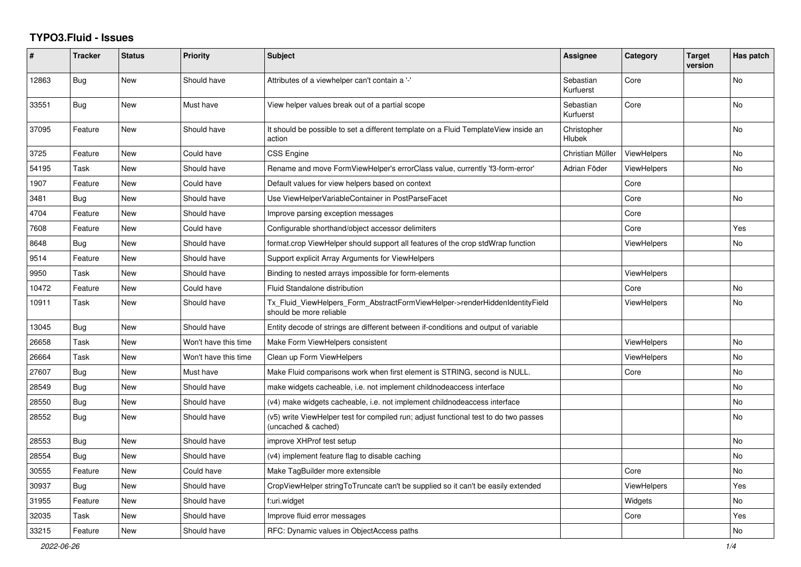## **TYPO3.Fluid - Issues**

| ∦     | <b>Tracker</b> | <b>Status</b> | <b>Priority</b>      | Subject                                                                                                     | Assignee                     | Category           | <b>Target</b><br>version | Has patch |
|-------|----------------|---------------|----------------------|-------------------------------------------------------------------------------------------------------------|------------------------------|--------------------|--------------------------|-----------|
| 12863 | Bug            | <b>New</b>    | Should have          | Attributes of a viewhelper can't contain a '-'                                                              | Sebastian<br>Kurfuerst       | Core               |                          | No        |
| 33551 | <b>Bug</b>     | New           | Must have            | View helper values break out of a partial scope                                                             | Sebastian<br>Kurfuerst       | Core               |                          | No        |
| 37095 | Feature        | New           | Should have          | It should be possible to set a different template on a Fluid TemplateView inside an<br>action               | Christopher<br><b>Hlubek</b> |                    |                          | No        |
| 3725  | Feature        | New           | Could have           | <b>CSS Engine</b>                                                                                           | Christian Müller             | <b>ViewHelpers</b> |                          | <b>No</b> |
| 54195 | Task           | New           | Should have          | Rename and move FormViewHelper's errorClass value, currently 'f3-form-error'                                | Adrian Föder                 | <b>ViewHelpers</b> |                          | No        |
| 1907  | Feature        | New           | Could have           | Default values for view helpers based on context                                                            |                              | Core               |                          |           |
| 3481  | Bug            | New           | Should have          | Use ViewHelperVariableContainer in PostParseFacet                                                           |                              | Core               |                          | No        |
| 4704  | Feature        | New           | Should have          | Improve parsing exception messages                                                                          |                              | Core               |                          |           |
| 7608  | Feature        | <b>New</b>    | Could have           | Configurable shorthand/object accessor delimiters                                                           |                              | Core               |                          | Yes       |
| 8648  | Bug            | <b>New</b>    | Should have          | format.crop ViewHelper should support all features of the crop stdWrap function                             |                              | <b>ViewHelpers</b> |                          | No        |
| 9514  | Feature        | New           | Should have          | Support explicit Array Arguments for ViewHelpers                                                            |                              |                    |                          |           |
| 9950  | Task           | New           | Should have          | Binding to nested arrays impossible for form-elements                                                       |                              | <b>ViewHelpers</b> |                          |           |
| 10472 | Feature        | New           | Could have           | Fluid Standalone distribution                                                                               |                              | Core               |                          | No        |
| 10911 | Task           | New           | Should have          | Tx_Fluid_ViewHelpers_Form_AbstractFormViewHelper->renderHiddenIdentityField<br>should be more reliable      |                              | ViewHelpers        |                          | No        |
| 13045 | Bug            | <b>New</b>    | Should have          | Entity decode of strings are different between if-conditions and output of variable                         |                              |                    |                          |           |
| 26658 | Task           | New           | Won't have this time | Make Form ViewHelpers consistent                                                                            |                              | ViewHelpers        |                          | <b>No</b> |
| 26664 | Task           | New           | Won't have this time | Clean up Form ViewHelpers                                                                                   |                              | <b>ViewHelpers</b> |                          | No        |
| 27607 | <b>Bug</b>     | <b>New</b>    | Must have            | Make Fluid comparisons work when first element is STRING, second is NULL.                                   |                              | Core               |                          | No        |
| 28549 | Bug            | New           | Should have          | make widgets cacheable, i.e. not implement childnodeaccess interface                                        |                              |                    |                          | No        |
| 28550 | Bug            | New           | Should have          | (v4) make widgets cacheable, i.e. not implement childnodeaccess interface                                   |                              |                    |                          | No        |
| 28552 | Bug            | New           | Should have          | (v5) write ViewHelper test for compiled run; adjust functional test to do two passes<br>(uncached & cached) |                              |                    |                          | No        |
| 28553 | Bug            | New           | Should have          | improve XHProf test setup                                                                                   |                              |                    |                          | No.       |
| 28554 | <b>Bug</b>     | <b>New</b>    | Should have          | (v4) implement feature flag to disable caching                                                              |                              |                    |                          | <b>No</b> |
| 30555 | Feature        | New           | Could have           | Make TagBuilder more extensible                                                                             |                              | Core               |                          | No        |
| 30937 | Bug            | New           | Should have          | CropViewHelper stringToTruncate can't be supplied so it can't be easily extended                            |                              | ViewHelpers        |                          | Yes       |
| 31955 | Feature        | New           | Should have          | f:uri.widget                                                                                                |                              | Widgets            |                          | No        |
| 32035 | Task           | New           | Should have          | Improve fluid error messages                                                                                |                              | Core               |                          | Yes       |
| 33215 | Feature        | <b>New</b>    | Should have          | RFC: Dynamic values in ObjectAccess paths                                                                   |                              |                    |                          | No        |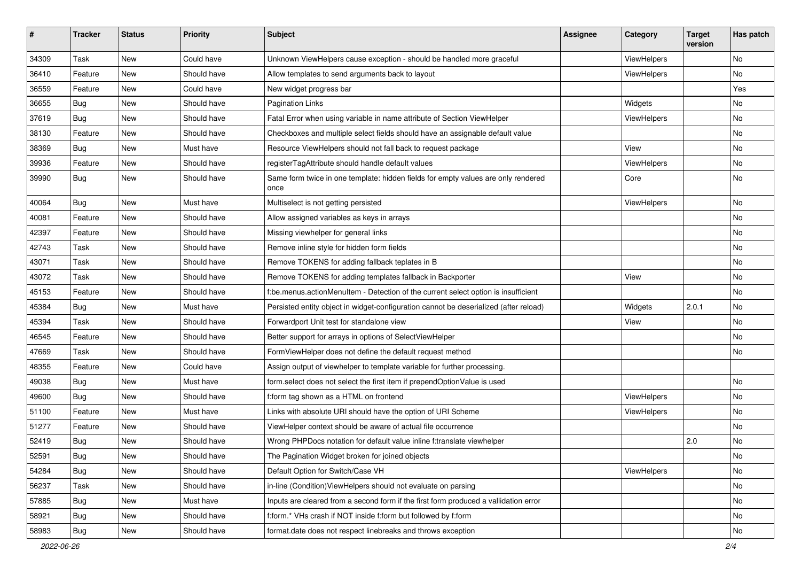| #     | <b>Tracker</b> | <b>Status</b> | <b>Priority</b> | <b>Subject</b>                                                                            | Assignee | <b>Category</b> | <b>Target</b><br>version | Has patch |
|-------|----------------|---------------|-----------------|-------------------------------------------------------------------------------------------|----------|-----------------|--------------------------|-----------|
| 34309 | Task           | New           | Could have      | Unknown ViewHelpers cause exception - should be handled more graceful                     |          | ViewHelpers     |                          | <b>No</b> |
| 36410 | Feature        | New           | Should have     | Allow templates to send arguments back to layout                                          |          | ViewHelpers     |                          | No        |
| 36559 | Feature        | New           | Could have      | New widget progress bar                                                                   |          |                 |                          | Yes       |
| 36655 | Bug            | <b>New</b>    | Should have     | <b>Pagination Links</b>                                                                   |          | Widgets         |                          | No        |
| 37619 | Bug            | New           | Should have     | Fatal Error when using variable in name attribute of Section ViewHelper                   |          | ViewHelpers     |                          | No        |
| 38130 | Feature        | <b>New</b>    | Should have     | Checkboxes and multiple select fields should have an assignable default value             |          |                 |                          | <b>No</b> |
| 38369 | Bug            | New           | Must have       | Resource ViewHelpers should not fall back to request package                              |          | View            |                          | No        |
| 39936 | Feature        | New           | Should have     | registerTagAttribute should handle default values                                         |          | ViewHelpers     |                          | No        |
| 39990 | Bug            | <b>New</b>    | Should have     | Same form twice in one template: hidden fields for empty values are only rendered<br>once |          | Core            |                          | No        |
| 40064 | Bug            | <b>New</b>    | Must have       | Multiselect is not getting persisted                                                      |          | ViewHelpers     |                          | <b>No</b> |
| 40081 | Feature        | <b>New</b>    | Should have     | Allow assigned variables as keys in arrays                                                |          |                 |                          | No        |
| 42397 | Feature        | New           | Should have     | Missing viewhelper for general links                                                      |          |                 |                          | No        |
| 42743 | Task           | <b>New</b>    | Should have     | Remove inline style for hidden form fields                                                |          |                 |                          | <b>No</b> |
| 43071 | Task           | New           | Should have     | Remove TOKENS for adding fallback teplates in B                                           |          |                 |                          | No        |
| 43072 | Task           | New           | Should have     | Remove TOKENS for adding templates fallback in Backporter                                 |          | View            |                          | No        |
| 45153 | Feature        | <b>New</b>    | Should have     | f:be.menus.actionMenuItem - Detection of the current select option is insufficient        |          |                 |                          | <b>No</b> |
| 45384 | Bug            | New           | Must have       | Persisted entity object in widget-configuration cannot be deserialized (after reload)     |          | Widgets         | 2.0.1                    | No        |
| 45394 | Task           | New           | Should have     | Forwardport Unit test for standalone view                                                 |          | View            |                          | No        |
| 46545 | Feature        | New           | Should have     | Better support for arrays in options of SelectViewHelper                                  |          |                 |                          | No        |
| 47669 | Task           | New           | Should have     | FormViewHelper does not define the default request method                                 |          |                 |                          | <b>No</b> |
| 48355 | Feature        | <b>New</b>    | Could have      | Assign output of viewhelper to template variable for further processing.                  |          |                 |                          |           |
| 49038 | Bug            | New           | Must have       | form select does not select the first item if prependOptionValue is used                  |          |                 |                          | No        |
| 49600 | Bug            | <b>New</b>    | Should have     | f:form tag shown as a HTML on frontend                                                    |          | ViewHelpers     |                          | No        |
| 51100 | Feature        | <b>New</b>    | Must have       | Links with absolute URI should have the option of URI Scheme                              |          | ViewHelpers     |                          | No        |
| 51277 | Feature        | New           | Should have     | ViewHelper context should be aware of actual file occurrence                              |          |                 |                          | No        |
| 52419 | <b>Bug</b>     | New           | Should have     | Wrong PHPDocs notation for default value inline f:translate viewhelper                    |          |                 | 2.0                      | No        |
| 52591 | <b>Bug</b>     | New           | Should have     | The Pagination Widget broken for joined objects                                           |          |                 |                          | No        |
| 54284 | Bug            | New           | Should have     | Default Option for Switch/Case VH                                                         |          | ViewHelpers     |                          | No        |
| 56237 | Task           | New           | Should have     | in-line (Condition) View Helpers should not evaluate on parsing                           |          |                 |                          | No        |
| 57885 | Bug            | New           | Must have       | Inputs are cleared from a second form if the first form produced a vallidation error      |          |                 |                          | No        |
| 58921 | Bug            | New           | Should have     | f:form.* VHs crash if NOT inside f:form but followed by f:form                            |          |                 |                          | No        |
| 58983 | <b>Bug</b>     | New           | Should have     | format.date does not respect linebreaks and throws exception                              |          |                 |                          | No        |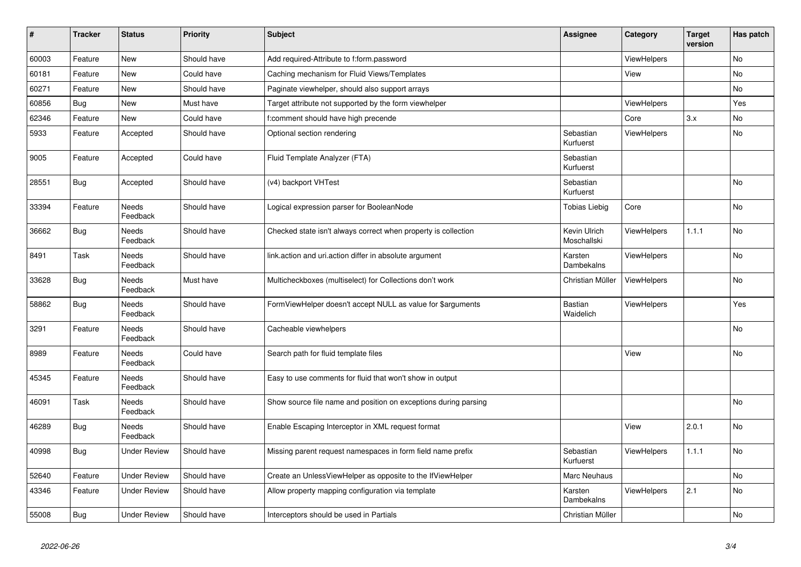| $\vert$ # | <b>Tracker</b> | <b>Status</b>            | <b>Priority</b> | <b>Subject</b>                                                  | <b>Assignee</b>             | Category           | <b>Target</b><br>version | Has patch |
|-----------|----------------|--------------------------|-----------------|-----------------------------------------------------------------|-----------------------------|--------------------|--------------------------|-----------|
| 60003     | Feature        | New                      | Should have     | Add required-Attribute to f:form.password                       |                             | <b>ViewHelpers</b> |                          | <b>No</b> |
| 60181     | Feature        | New                      | Could have      | Caching mechanism for Fluid Views/Templates                     |                             | View               |                          | <b>No</b> |
| 60271     | Feature        | New                      | Should have     | Paginate viewhelper, should also support arrays                 |                             |                    |                          | No        |
| 60856     | <b>Bug</b>     | New                      | Must have       | Target attribute not supported by the form viewhelper           |                             | <b>ViewHelpers</b> |                          | Yes       |
| 62346     | Feature        | New                      | Could have      | f:comment should have high precende                             |                             | Core               | 3.x                      | No        |
| 5933      | Feature        | Accepted                 | Should have     | Optional section rendering                                      | Sebastian<br>Kurfuerst      | ViewHelpers        |                          | <b>No</b> |
| 9005      | Feature        | Accepted                 | Could have      | Fluid Template Analyzer (FTA)                                   | Sebastian<br>Kurfuerst      |                    |                          |           |
| 28551     | <b>Bug</b>     | Accepted                 | Should have     | (v4) backport VHTest                                            | Sebastian<br>Kurfuerst      |                    |                          | No        |
| 33394     | Feature        | Needs<br>Feedback        | Should have     | Logical expression parser for BooleanNode                       | <b>Tobias Liebig</b>        | Core               |                          | No        |
| 36662     | Bug            | Needs<br>Feedback        | Should have     | Checked state isn't always correct when property is collection  | Kevin Ulrich<br>Moschallski | <b>ViewHelpers</b> | 1.1.1                    | <b>No</b> |
| 8491      | Task           | Needs<br>Feedback        | Should have     | link.action and uri.action differ in absolute argument          | Karsten<br>Dambekalns       | ViewHelpers        |                          | No        |
| 33628     | <b>Bug</b>     | Needs<br>Feedback        | Must have       | Multicheckboxes (multiselect) for Collections don't work        | Christian Müller            | <b>ViewHelpers</b> |                          | No        |
| 58862     | <b>Bug</b>     | Needs<br>Feedback        | Should have     | FormViewHelper doesn't accept NULL as value for \$arguments     | Bastian<br>Waidelich        | <b>ViewHelpers</b> |                          | Yes       |
| 3291      | Feature        | Needs<br>Feedback        | Should have     | Cacheable viewhelpers                                           |                             |                    |                          | No        |
| 8989      | Feature        | Needs<br>Feedback        | Could have      | Search path for fluid template files                            |                             | View               |                          | No        |
| 45345     | Feature        | Needs<br>Feedback        | Should have     | Easy to use comments for fluid that won't show in output        |                             |                    |                          |           |
| 46091     | Task           | <b>Needs</b><br>Feedback | Should have     | Show source file name and position on exceptions during parsing |                             |                    |                          | <b>No</b> |
| 46289     | <b>Bug</b>     | Needs<br>Feedback        | Should have     | Enable Escaping Interceptor in XML request format               |                             | View               | 2.0.1                    | No        |
| 40998     | <b>Bug</b>     | Under Review             | Should have     | Missing parent request namespaces in form field name prefix     | Sebastian<br>Kurfuerst      | <b>ViewHelpers</b> | 1.1.1                    | No        |
| 52640     | Feature        | <b>Under Review</b>      | Should have     | Create an UnlessViewHelper as opposite to the IfViewHelper      | Marc Neuhaus                |                    |                          | <b>No</b> |
| 43346     | Feature        | Under Review             | Should have     | Allow property mapping configuration via template               | Karsten<br>Dambekalns       | <b>ViewHelpers</b> | 2.1                      | No        |
| 55008     | Bug            | <b>Under Review</b>      | Should have     | Interceptors should be used in Partials                         | Christian Müller            |                    |                          | No        |